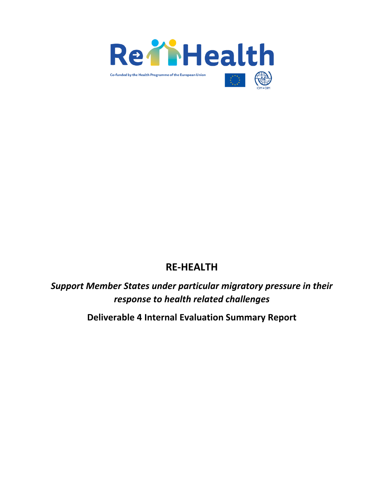

# **RE-HEALTH**

*Support Member States under particular migratory pressure in their response to health related challenges*

**Deliverable 4 Internal Evaluation Summary Report**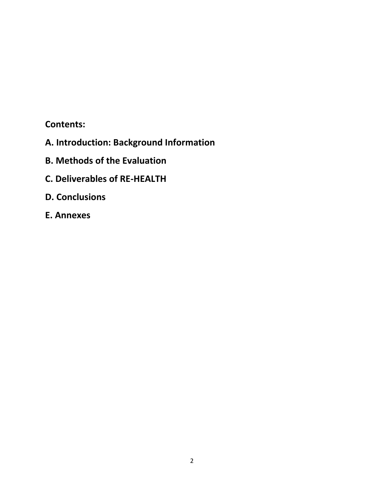# **Contents:**

- **A. Introduction: Background Information**
- **B. Methods of the Evaluation**
- **C. Deliverables of RE-HEALTH**
- **D. Conclusions**
- **E. Annexes**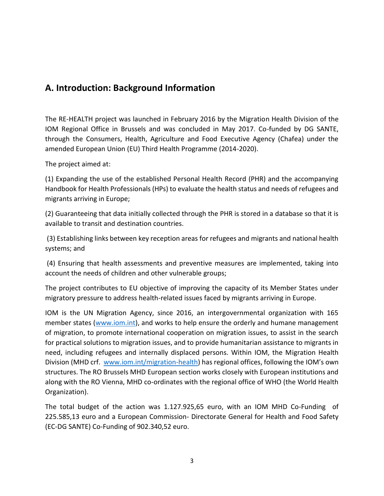# **A. Introduction: Background Information**

The RE-HEALTH project was launched in February 2016 by the Migration Health Division of the IOM Regional Office in Brussels and was concluded in May 2017. Co-funded by DG SANTE, through the Consumers, Health, Agriculture and Food Executive Agency (Chafea) under the amended European Union (EU) Third Health Programme (2014-2020).

The project aimed at:

(1) Expanding the use of the established Personal Health Record (PHR) and the accompanying Handbook for Health Professionals (HPs) to evaluate the health status and needs of refugees and migrants arriving in Europe;

(2) Guaranteeing that data initially collected through the PHR is stored in a database so that it is available to transit and destination countries.

(3) Establishing links between key reception areas for refugees and migrants and national health systems; and

(4) Ensuring that health assessments and preventive measures are implemented, taking into account the needs of children and other vulnerable groups;

The project contributes to EU objective of improving the capacity of its Member States under migratory pressure to address health-related issues faced by migrants arriving in Europe.

IOM is the UN Migration Agency, since 2016, an intergovernmental organization with 165 member states [\(www.iom.int\)](file:///C:/Users/EVAL/Desktop/www.iom.int), and works to help ensure the orderly and humane management of migration, to promote international cooperation on migration issues, to assist in the search for practical solutions to migration issues, and to provide humanitarian assistance to migrants in need, including refugees and internally displaced persons. Within IOM, the Migration Health Division (MHD crf. [www.iom.int/migration-health\)](file:///C:/Users/EVAL/Desktop/www.iom.int/migration-health) has regional offices, following the IOM's own structures. The RO Brussels MHD European section works closely with European institutions and along with the RO Vienna, MHD co-ordinates with the regional office of WHO (the World Health Organization).

The total budget of the action was 1.127.925,65 euro, with an IOM MHD Co-Funding of 225.585,13 euro and a European Commission- Directorate General for Health and Food Safety (EC-DG SANTE) Co-Funding of 902.340,52 euro.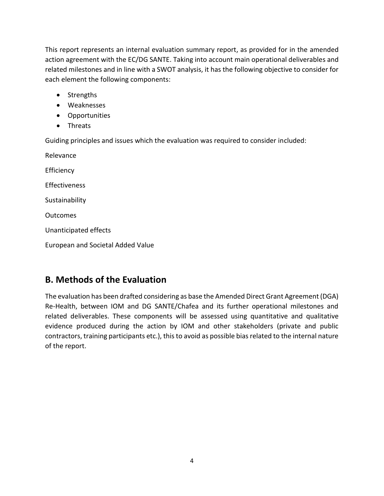This report represents an internal evaluation summary report, as provided for in the amended action agreement with the EC/DG SANTE. Taking into account main operational deliverables and related milestones and in line with a SWOT analysis, it has the following objective to consider for each element the following components:

- Strengths
- Weaknesses
- Opportunities
- Threats

Guiding principles and issues which the evaluation was required to consider included:

Relevance **Efficiency Effectiveness** Sustainability **Outcomes** Unanticipated effects European and Societal Added Value

# **B. Methods of the Evaluation**

The evaluation has been drafted considering as base the Amended Direct Grant Agreement (DGA) Re-Health, between IOM and DG SANTE/Chafea and its further operational milestones and related deliverables. These components will be assessed using quantitative and qualitative evidence produced during the action by IOM and other stakeholders (private and public contractors, training participants etc.), this to avoid as possible bias related to the internal nature of the report.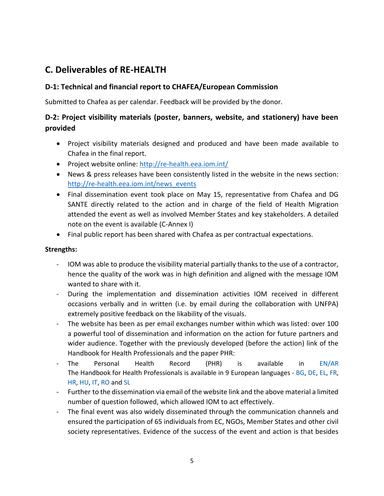# **C. Deliverables of RE-HEALTH**

### **D-1: Technical and financial report to CHAFEA/European Commission**

Submitted to Chafea as per calendar. Feedback will be provided by the donor.

# **D-2: Project visibility materials (poster, banners, website, and stationery) have been provided**

- Project visibility materials designed and produced and have been made available to Chafea in the final report.
- Project website online:<http://re-health.eea.iom.int/>
- News & press releases have been consistently listed in the website in the news section: [http://re-health.eea.iom.int/news\\_events](http://re-health.eea.iom.int/news_events)
- Final dissemination event took place on May 15, representative from Chafea and DG SANTE directly related to the action and in charge of the field of Health Migration attended the event as well as involved Member States and key stakeholders. A detailed note on the event is available (C-Annex I)
- Final public report has been shared with Chafea as per contractual expectations.

#### **Strengths:**

- IOM was able to produce the visibility material partially thanks to the use of a contractor, hence the quality of the work was in high definition and aligned with the message IOM wanted to share with it.
- During the implementation and dissemination activities IOM received in different occasions verbally and in written (i.e. by email during the collaboration with UNFPA) extremely positive feedback on the likability of the visuals.
- The website has been as per email exchanges number within which was listed: over 100 a powerful tool of dissemination and information on the action for future partners and wider audience. Together with the previously developed (before the action) link of the Handbook for Health Professionals and the paper PHR:
- The Personal Health Record (PHR) is available in [EN/AR](http://ec.europa.eu/dgs/health_food-safety/docs/personal_health_record_english.pdf) The Handbook for Health Professionals is available in 9 European languages - [BG,](http://ec.europa.eu/dgs/health_food-safety/docs/personal_health_handbook_bg.pdf) [DE,](http://ec.europa.eu/dgs/health_food-safety/docs/personal_health_handbook_de.pdf) [EL,](http://ec.europa.eu/dgs/health_food-safety/docs/personal_health_record_greek.pdf) [FR,](http://ec.europa.eu/dgs/health_food-safety/docs/personal_health_handbook_fr.pdf) [HR,](http://ec.europa.eu/dgs/health_food-safety/docs/personal_health_handbook_hr.pdf) [HU,](http://ec.europa.eu/dgs/health_food-safety/docs/personal_health_handbook_hu.pdf) [IT,](http://ec.europa.eu/dgs/health_food-safety/docs/personal_health_handbook_it.pdf) [RO](http://ec.europa.eu/dgs/health_food-safety/docs/personal_health_handbook_ro.pdf) an[d SL](http://ec.europa.eu/dgs/health_food-safety/docs/personal_health_handbook_sl.pdf)
- Further to the dissemination via email of the website link and the above material a limited number of question followed, which allowed IOM to act effectively.
- The final event was also widely disseminated through the communication channels and ensured the participation of 65 individuals from EC, NGOs, Member States and other civil society representatives. Evidence of the success of the event and action is that besides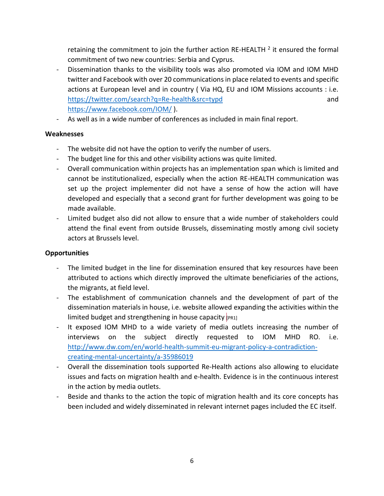retaining the commitment to join the further action RE-HEALTH  $^2$  it ensured the formal commitment of two new countries: Serbia and Cyprus.

- Dissemination thanks to the visibility tools was also promoted via IOM and IOM MHD twitter and Facebook with over 20 communications in place related to events and specific actions at European level and in country ( Via HQ, EU and IOM Missions accounts : i.e. <https://twitter.com/search?q=Re-health&src=typd> and <https://www.facebook.com/IOM/> ).
- As well as in a wide number of conferences as included in main final report.

### **Weaknesses**

- The website did not have the option to verify the number of users.
- The budget line for this and other visibility actions was quite limited.
- Overall communication within projects has an implementation span which is limited and cannot be institutionalized, especially when the action RE-HEALTH communication was set up the project implementer did not have a sense of how the action will have developed and especially that a second grant for further development was going to be made available.
- Limited budget also did not allow to ensure that a wide number of stakeholders could attend the final event from outside Brussels, disseminating mostly among civil society actors at Brussels level.

# **Opportunities**

- The limited budget in the line for dissemination ensured that key resources have been attributed to actions which directly improved the ultimate beneficiaries of the actions, the migrants, at field level.
- The establishment of communication channels and the development of part of the dissemination materials in house, i.e. website allowed expanding the activities within the limited budget and strengthening in house capacity  $[PR1]$
- It exposed IOM MHD to a wide variety of media outlets increasing the number of interviews on the subject directly requested to IOM MHD RO. i.e. [http://www.dw.com/en/world-health-summit-eu-migrant-policy-a-contradiction](http://www.dw.com/en/world-health-summit-eu-migrant-policy-a-contradiction-creating-mental-uncertainty/a-35986019)[creating-mental-uncertainty/a-35986019](http://www.dw.com/en/world-health-summit-eu-migrant-policy-a-contradiction-creating-mental-uncertainty/a-35986019)
- Overall the dissemination tools supported Re-Health actions also allowing to elucidate issues and facts on migration health and e-health. Evidence is in the continuous interest in the action by media outlets.
- Beside and thanks to the action the topic of migration health and its core concepts has been included and widely disseminated in relevant internet pages included the EC itself.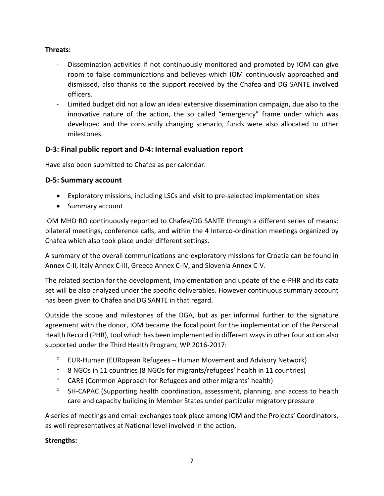#### **Threats:**

- Dissemination activities if not continuously monitored and promoted by IOM can give room to false communications and believes which IOM continuously approached and dismissed, also thanks to the support received by the Chafea and DG SANTE involved officers.
- Limited budget did not allow an ideal extensive dissemination campaign, due also to the innovative nature of the action, the so called "emergency" frame under which was developed and the constantly changing scenario, funds were also allocated to other milestones.

# **D-3: Final public report and D-4: Internal evaluation report**

Have also been submitted to Chafea as per calendar.

# **D-5: Summary account**

- Exploratory missions, including LSCs and visit to pre-selected implementation sites
- Summary account

IOM MHD RO continuously reported to Chafea/DG SANTE through a different series of means: bilateral meetings, conference calls, and within the 4 Interco-ordination meetings organized by Chafea which also took place under different settings.

A summary of the overall communications and exploratory missions for Croatia can be found in Annex C-II, Italy Annex C-III, Greece Annex C-IV, and Slovenia Annex C-V.

The related section for the development, implementation and update of the e-PHR and its data set will be also analyzed under the specific deliverables. However continuous summary account has been given to Chafea and DG SANTE in that regard.

Outside the scope and milestones of the DGA, but as per informal further to the signature agreement with the donor, IOM became the focal point for the implementation of the Personal Health Record (PHR), tool which has been implemented in different ways in other four action also supported under the Third Health Program, WP 2016-2017:

- $\degree$  EUR-Human (EURopean Refugees Human Movement and Advisory Network)
- 8 NGOs in 11 countries (8 NGOs for migrants/refugees' health in 11 countries)
- <sup>o</sup> CARE (Common Approach for Refugees and other migrants' health)
- <sup>o</sup> SH-CAPAC (Supporting health coordination, assessment, planning, and access to health care and capacity building in Member States under particular migratory pressure

A series of meetings and email exchanges took place among IOM and the Projects' Coordinators, as well representatives at National level involved in the action.

# **Strengths:**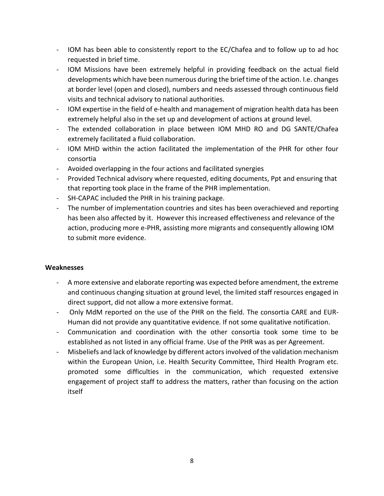- IOM has been able to consistently report to the EC/Chafea and to follow up to ad hoc requested in brief time.
- IOM Missions have been extremely helpful in providing feedback on the actual field developments which have been numerous during the brief time of the action. I.e. changes at border level (open and closed), numbers and needs assessed through continuous field visits and technical advisory to national authorities.
- IOM expertise in the field of e-health and management of migration health data has been extremely helpful also in the set up and development of actions at ground level.
- The extended collaboration in place between IOM MHD RO and DG SANTE/Chafea extremely facilitated a fluid collaboration.
- IOM MHD within the action facilitated the implementation of the PHR for other four consortia
- Avoided overlapping in the four actions and facilitated synergies
- Provided Technical advisory where requested, editing documents, Ppt and ensuring that that reporting took place in the frame of the PHR implementation.
- SH-CAPAC included the PHR in his training package.
- The number of implementation countries and sites has been overachieved and reporting has been also affected by it. However this increased effectiveness and relevance of the action, producing more e-PHR, assisting more migrants and consequently allowing IOM to submit more evidence.

#### **Weaknesses**

- A more extensive and elaborate reporting was expected before amendment, the extreme and continuous changing situation at ground level, the limited staff resources engaged in direct support, did not allow a more extensive format.
- Only MdM reported on the use of the PHR on the field. The consortia CARE and EUR-Human did not provide any quantitative evidence. If not some qualitative notification.
- Communication and coordination with the other consortia took some time to be established as not listed in any official frame. Use of the PHR was as per Agreement.
- Misbeliefs and lack of knowledge by different actors involved of the validation mechanism within the European Union, i.e. Health Security Committee, Third Health Program etc. promoted some difficulties in the communication, which requested extensive engagement of project staff to address the matters, rather than focusing on the action itself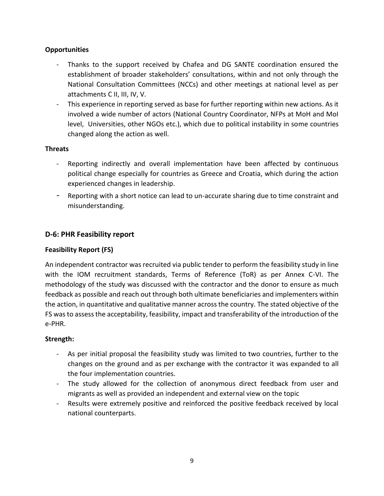#### **Opportunities**

- Thanks to the support received by Chafea and DG SANTE coordination ensured the establishment of broader stakeholders' consultations, within and not only through the National Consultation Committees (NCCs) and other meetings at national level as per attachments C II, III, IV, V.
- This experience in reporting served as base for further reporting within new actions. As it involved a wide number of actors (National Country Coordinator, NFPs at MoH and MoI level, Universities, other NGOs etc.), which due to political instability in some countries changed along the action as well.

#### **Threats**

- Reporting indirectly and overall implementation have been affected by continuous political change especially for countries as Greece and Croatia, which during the action experienced changes in leadership.
- Reporting with a short notice can lead to un-accurate sharing due to time constraint and misunderstanding.

# **D-6: PHR Feasibility report**

### **Feasibility Report (FS)**

An independent contractor was recruited via public tender to perform the feasibility study in line with the IOM recruitment standards, Terms of Reference (ToR) as per Annex C-VI. The methodology of the study was discussed with the contractor and the donor to ensure as much feedback as possible and reach out through both ultimate beneficiaries and implementers within the action, in quantitative and qualitative manner across the country. The stated objective of the FS was to assess the acceptability, feasibility, impact and transferability of the introduction of the e-PHR.

#### **Strength:**

- As per initial proposal the feasibility study was limited to two countries, further to the changes on the ground and as per exchange with the contractor it was expanded to all the four implementation countries.
- The study allowed for the collection of anonymous direct feedback from user and migrants as well as provided an independent and external view on the topic
- Results were extremely positive and reinforced the positive feedback received by local national counterparts.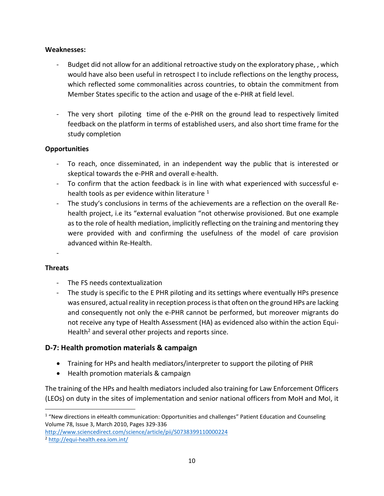#### **Weaknesses:**

- Budget did not allow for an additional retroactive study on the exploratory phase,, which would have also been useful in retrospect I to include reflections on the lengthy process, which reflected some commonalities across countries, to obtain the commitment from Member States specific to the action and usage of the e-PHR at field level.
- The very short piloting time of the e-PHR on the ground lead to respectively limited feedback on the platform in terms of established users, and also short time frame for the study completion

#### **Opportunities**

- To reach, once disseminated, in an independent way the public that is interested or skeptical towards the e-PHR and overall e-health.
- To confirm that the action feedback is in line with what experienced with successful ehealth tools as per evidence within literature  $1$
- The study's conclusions in terms of the achievements are a reflection on the overall Rehealth project, i.e its "external evaluation "not otherwise provisioned. But one example as to the role of health mediation, implicitly reflecting on the training and mentoring they were provided with and confirming the usefulness of the model of care provision advanced within Re-Health.

# - **Threats**

l

- The FS needs contextualization
- The study is specific to the E PHR piloting and its settings where eventually HPs presence was ensured, actual reality in reception processis that often on the ground HPs are lacking and consequently not only the e-PHR cannot be performed, but moreover migrants do not receive any type of Health Assessment (HA) as evidenced also within the action Equi-Health<sup>2</sup> and several other projects and reports since.

#### **D-7: Health promotion materials & campaign**

- Training for HPs and health mediators/interpreter to support the piloting of PHR
- Health promotion materials & campaign

The training of the HPs and health mediators included also training for Law Enforcement Officers (LEOs) on duty in the sites of implementation and senior national officers from MoH and MoI, it

<http://www.sciencedirect.com/science/article/pii/S0738399110000224>

<sup>&</sup>lt;sup>1</sup> "New directions in eHealth communication: Opportunities and challenges" Patient Education and Counseling Volume 78, Issue 3, March 2010, Pages 329-336

<sup>2</sup> <http://equi-health.eea.iom.int/>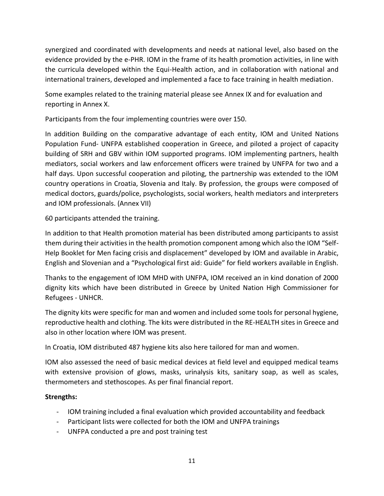synergized and coordinated with developments and needs at national level, also based on the evidence provided by the e-PHR. IOM in the frame of its health promotion activities, in line with the curricula developed within the Equi-Health action, and in collaboration with national and international trainers, developed and implemented a face to face training in health mediation.

Some examples related to the training material please see Annex IX and for evaluation and reporting in Annex X.

Participants from the four implementing countries were over 150.

In addition Building on the comparative advantage of each entity, IOM and United Nations Population Fund- UNFPA established cooperation in Greece, and piloted a project of capacity building of SRH and GBV within IOM supported programs. IOM implementing partners, health mediators, social workers and law enforcement officers were trained by UNFPA for two and a half days. Upon successful cooperation and piloting, the partnership was extended to the IOM country operations in Croatia, Slovenia and Italy. By profession, the groups were composed of medical doctors, guards/police, psychologists, social workers, health mediators and interpreters and IOM professionals. (Annex VII)

60 participants attended the training.

In addition to that Health promotion material has been distributed among participants to assist them during their activities in the health promotion component among which also the IOM "Self-Help Booklet for Men facing crisis and displacement" developed by IOM and available in Arabic, English and Slovenian and a "Psychological first aid: Guide" for field workers available in English.

Thanks to the engagement of IOM MHD with UNFPA, IOM received an in kind donation of 2000 dignity kits which have been distributed in Greece by United Nation High Commissioner for Refugees - UNHCR.

The dignity kits were specific for man and women and included some tools for personal hygiene, reproductive health and clothing. The kits were distributed in the RE-HEALTH sites in Greece and also in other location where IOM was present.

In Croatia, IOM distributed 487 hygiene kits also here tailored for man and women.

IOM also assessed the need of basic medical devices at field level and equipped medical teams with extensive provision of glows, masks, urinalysis kits, sanitary soap, as well as scales, thermometers and stethoscopes. As per final financial report.

#### **Strengths:**

- IOM training included a final evaluation which provided accountability and feedback
- Participant lists were collected for both the IOM and UNFPA trainings
- UNFPA conducted a pre and post training test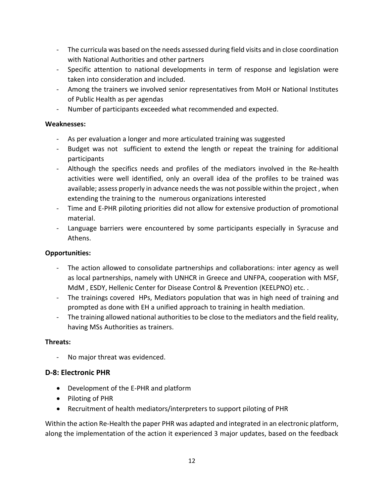- The curricula was based on the needs assessed during field visits and in close coordination with National Authorities and other partners
- Specific attention to national developments in term of response and legislation were taken into consideration and included.
- Among the trainers we involved senior representatives from MoH or National Institutes of Public Health as per agendas
- Number of participants exceeded what recommended and expected.

#### **Weaknesses:**

- As per evaluation a longer and more articulated training was suggested
- Budget was not sufficient to extend the length or repeat the training for additional participants
- Although the specifics needs and profiles of the mediators involved in the Re-health activities were well identified, only an overall idea of the profiles to be trained was available; assess properly in advance needs the was not possible within the project , when extending the training to the numerous organizations interested
- Time and E-PHR piloting priorities did not allow for extensive production of promotional material.
- Language barriers were encountered by some participants especially in Syracuse and Athens.

#### **Opportunities:**

- The action allowed to consolidate partnerships and collaborations: inter agency as well as local partnerships, namely with UNHCR in Greece and UNFPA, cooperation with MSF, MdM , ESDY, Hellenic Center for Disease Control & Prevention (KEELPNO) etc. .
- The trainings covered HPs, Mediators population that was in high need of training and prompted as done with EH a unified approach to training in health mediation.
- The training allowed national authorities to be close to the mediators and the field reality, having MSs Authorities as trainers.

#### **Threats:**

No major threat was evidenced.

# **D-8: Electronic PHR**

- Development of the E-PHR and platform
- Piloting of PHR
- Recruitment of health mediators/interpreters to support piloting of PHR

Within the action Re-Health the paper PHR was adapted and integrated in an electronic platform, along the implementation of the action it experienced 3 major updates, based on the feedback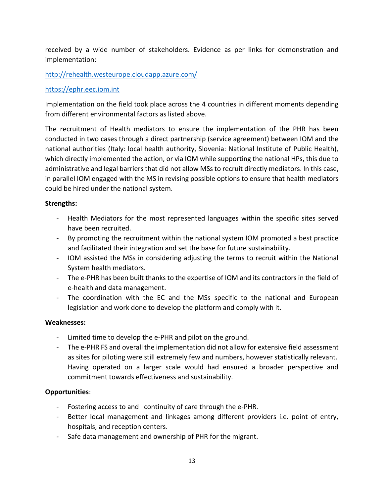received by a wide number of stakeholders. Evidence as per links for demonstration and implementation:

#### <http://rehealth.westeurope.cloudapp.azure.com/>

#### [https://ephr.eec.iom.int](https://ephr.eec.iom.int/)

Implementation on the field took place across the 4 countries in different moments depending from different environmental factors as listed above.

The recruitment of Health mediators to ensure the implementation of the PHR has been conducted in two cases through a direct partnership (service agreement) between IOM and the national authorities (Italy: local health authority, Slovenia: National Institute of Public Health), which directly implemented the action, or via IOM while supporting the national HPs, this due to administrative and legal barriers that did not allow MSs to recruit directly mediators. In this case, in parallel IOM engaged with the MS in revising possible options to ensure that health mediators could be hired under the national system.

#### **Strengths:**

- Health Mediators for the most represented languages within the specific sites served have been recruited.
- By promoting the recruitment within the national system IOM promoted a best practice and facilitated their integration and set the base for future sustainability.
- IOM assisted the MSs in considering adjusting the terms to recruit within the National System health mediators.
- The e-PHR has been built thanks to the expertise of IOM and its contractors in the field of e-health and data management.
- The coordination with the EC and the MSs specific to the national and European legislation and work done to develop the platform and comply with it.

#### **Weaknesses:**

- Limited time to develop the e-PHR and pilot on the ground.
- The e-PHR FS and overall the implementation did not allow for extensive field assessment as sites for piloting were still extremely few and numbers, however statistically relevant. Having operated on a larger scale would had ensured a broader perspective and commitment towards effectiveness and sustainability.

#### **Opportunities**:

- Fostering access to and continuity of care through the e-PHR.
- Better local management and linkages among different providers i.e. point of entry, hospitals, and reception centers.
- Safe data management and ownership of PHR for the migrant.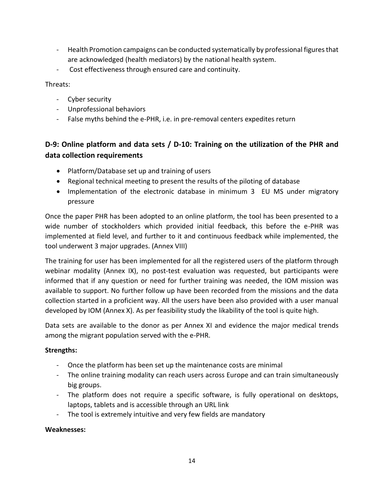- Health Promotion campaigns can be conducted systematically by professional figures that are acknowledged (health mediators) by the national health system.
- Cost effectiveness through ensured care and continuity.

#### Threats:

- Cyber security
- Unprofessional behaviors
- False myths behind the e-PHR, i.e. in pre-removal centers expedites return

# **D-9: Online platform and data sets / D-10: Training on the utilization of the PHR and data collection requirements**

- Platform/Database set up and training of users
- Regional technical meeting to present the results of the piloting of database
- Implementation of the electronic database in minimum 3 EU MS under migratory pressure

Once the paper PHR has been adopted to an online platform, the tool has been presented to a wide number of stockholders which provided initial feedback, this before the e-PHR was implemented at field level, and further to it and continuous feedback while implemented, the tool underwent 3 major upgrades. (Annex VIII)

The training for user has been implemented for all the registered users of the platform through webinar modality (Annex IX), no post-test evaluation was requested, but participants were informed that if any question or need for further training was needed, the IOM mission was available to support. No further follow up have been recorded from the missions and the data collection started in a proficient way. All the users have been also provided with a user manual developed by IOM (Annex X). As per feasibility study the likability of the tool is quite high.

Data sets are available to the donor as per Annex XI and evidence the major medical trends among the migrant population served with the e-PHR.

#### **Strengths:**

- Once the platform has been set up the maintenance costs are minimal
- The online training modality can reach users across Europe and can train simultaneously big groups.
- The platform does not require a specific software, is fully operational on desktops, laptops, tablets and is accessible through an URL link
- The tool is extremely intuitive and very few fields are mandatory

#### **Weaknesses:**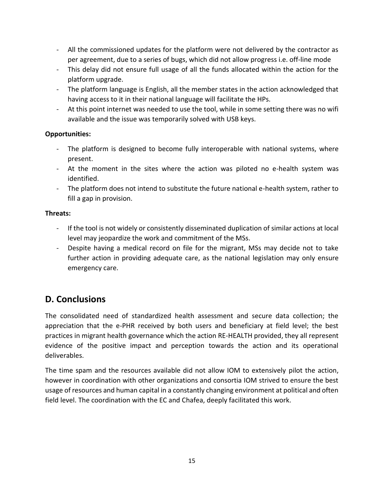- All the commissioned updates for the platform were not delivered by the contractor as per agreement, due to a series of bugs, which did not allow progress i.e. off-line mode
- This delay did not ensure full usage of all the funds allocated within the action for the platform upgrade.
- The platform language is English, all the member states in the action acknowledged that having access to it in their national language will facilitate the HPs.
- At this point internet was needed to use the tool, while in some setting there was no wifi available and the issue was temporarily solved with USB keys.

#### **Opportunities:**

- The platform is designed to become fully interoperable with national systems, where present.
- At the moment in the sites where the action was piloted no e-health system was identified.
- The platform does not intend to substitute the future national e-health system, rather to fill a gap in provision.

### **Threats:**

- If the tool is not widely or consistently disseminated duplication of similar actions at local level may jeopardize the work and commitment of the MSs.
- Despite having a medical record on file for the migrant, MSs may decide not to take further action in providing adequate care, as the national legislation may only ensure emergency care.

# **D. Conclusions**

The consolidated need of standardized health assessment and secure data collection; the appreciation that the e-PHR received by both users and beneficiary at field level; the best practices in migrant health governance which the action RE-HEALTH provided, they all represent evidence of the positive impact and perception towards the action and its operational deliverables.

The time spam and the resources available did not allow IOM to extensively pilot the action, however in coordination with other organizations and consortia IOM strived to ensure the best usage of resources and human capital in a constantly changing environment at political and often field level. The coordination with the EC and Chafea, deeply facilitated this work.